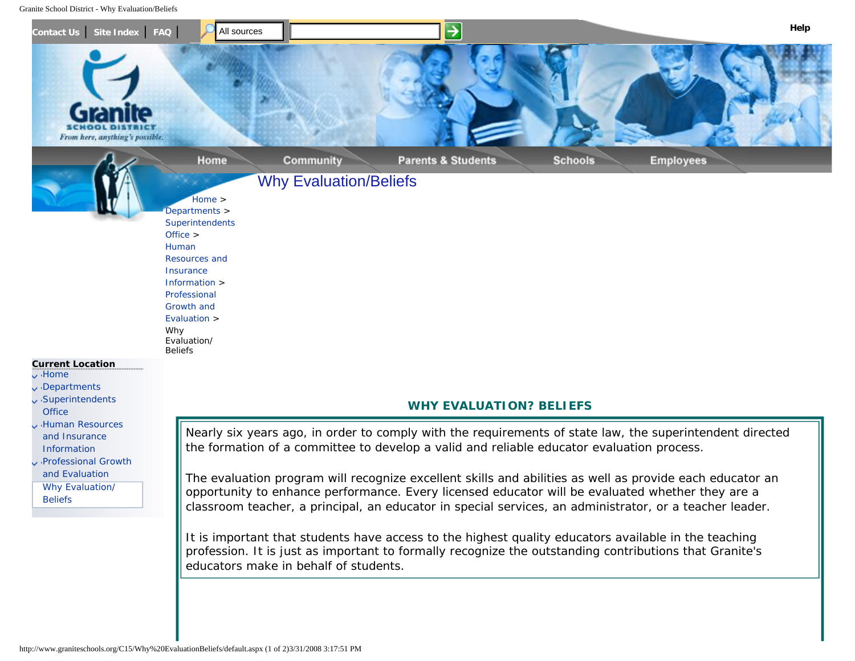<span id="page-0-0"></span>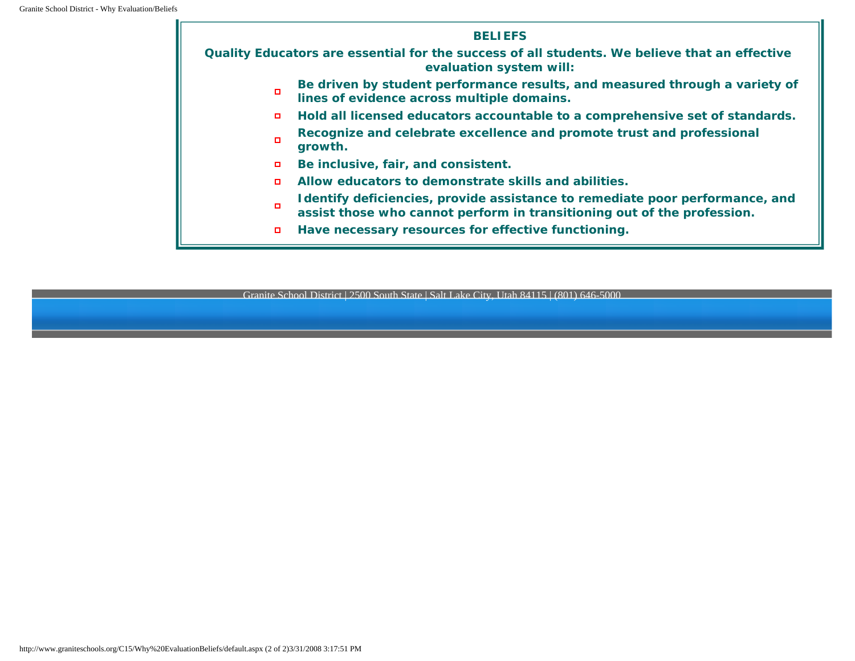#### *BELIEFS*

*Quality Educators are essential for the success of all students. We believe that an effective evaluation system will:*

- *Be driven by student performance results, and measured through a variety of*  α. *lines of evidence across multiple domains.*
- *Hold all licensed educators accountable to a comprehensive set of standards.*  $\Box$
- *Recognize and celebrate excellence and promote trust and professional*   $\blacksquare$ *growth.*
- *Be inclusive, fair, and consistent.*  $\Box$
- *Allow educators to demonstrate skills and abilities.*  $\Box$
- *Identify deficiencies, provide assistance to remediate poor performance, and*   $\Box$ *assist those who cannot perform in transitioning out of the profession.*
- *Have necessary resources for effective functioning.*  $\Box$

Granite School District | 2500 South State | Salt Lake City, Utah 84115 | (801) 646-5000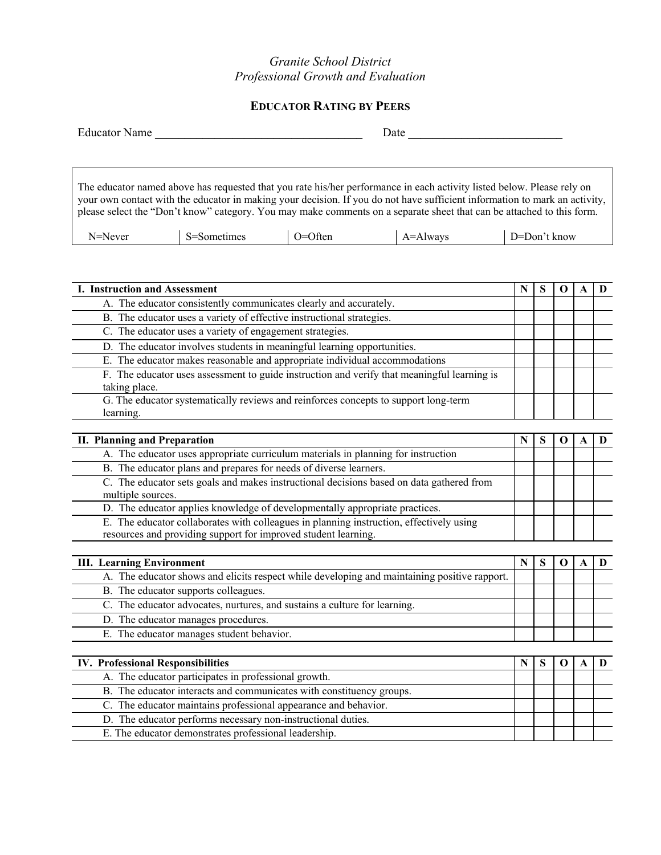## *Granite School District Professional Growth and Evaluation*

# **EDUCATOR RATING BY PEERS**

| <b>Educator Name</b> |             |         | Date                                                                                                                                                                                                                                                                                                                                                                          |              |
|----------------------|-------------|---------|-------------------------------------------------------------------------------------------------------------------------------------------------------------------------------------------------------------------------------------------------------------------------------------------------------------------------------------------------------------------------------|--------------|
|                      |             |         |                                                                                                                                                                                                                                                                                                                                                                               |              |
|                      |             |         | The educator named above has requested that you rate his/her performance in each activity listed below. Please rely on<br>your own contact with the educator in making your decision. If you do not have sufficient information to mark an activity,<br>please select the "Don't know" category. You may make comments on a separate sheet that can be attached to this form. |              |
| N=Never              | S=Sometimes | O=Often | $A =$ Always                                                                                                                                                                                                                                                                                                                                                                  | D=Don't know |

| <b>I. Instruction and Assessment</b>                                                                                                                      |   |   | $\Omega$ | A            | D |
|-----------------------------------------------------------------------------------------------------------------------------------------------------------|---|---|----------|--------------|---|
| A. The educator consistently communicates clearly and accurately.                                                                                         |   |   |          |              |   |
| B. The educator uses a variety of effective instructional strategies.                                                                                     |   |   |          |              |   |
| C. The educator uses a variety of engagement strategies.                                                                                                  |   |   |          |              |   |
| D. The educator involves students in meaningful learning opportunities.                                                                                   |   |   |          |              |   |
| E. The educator makes reasonable and appropriate individual accommodations                                                                                |   |   |          |              |   |
| F. The educator uses assessment to guide instruction and verify that meaningful learning is<br>taking place.                                              |   |   |          |              |   |
| G. The educator systematically reviews and reinforces concepts to support long-term<br>learning.                                                          |   |   |          |              |   |
|                                                                                                                                                           |   |   |          |              |   |
| <b>II. Planning and Preparation</b>                                                                                                                       | N | S | $\Omega$ | $\mathbf{A}$ | D |
| A. The educator uses appropriate curriculum materials in planning for instruction                                                                         |   |   |          |              |   |
| B. The educator plans and prepares for needs of diverse learners.                                                                                         |   |   |          |              |   |
| C. The educator sets goals and makes instructional decisions based on data gathered from<br>multiple sources.                                             |   |   |          |              |   |
| D. The educator applies knowledge of developmentally appropriate practices.                                                                               |   |   |          |              |   |
| E. The educator collaborates with colleagues in planning instruction, effectively using<br>resources and providing support for improved student learning. |   |   |          |              |   |
|                                                                                                                                                           |   |   |          |              |   |
| <b>III.</b> Learning Environment                                                                                                                          | N | S | $\Omega$ | $\mathbf{A}$ | D |
| A. The educator shows and elicits respect while developing and maintaining positive rapport.                                                              |   |   |          |              |   |
| B. The educator supports colleagues.                                                                                                                      |   |   |          |              |   |
| C. The educator advocates, nurtures, and sustains a culture for learning.                                                                                 |   |   |          |              |   |
| D. The educator manages procedures.                                                                                                                       |   |   |          |              |   |
| E. The educator manages student behavior.                                                                                                                 |   |   |          |              |   |

| <b>IV. Professional Responsibilities</b>                             |  |  |  |
|----------------------------------------------------------------------|--|--|--|
| A. The educator participates in professional growth.                 |  |  |  |
| B. The educator interacts and communicates with constituency groups. |  |  |  |
| C. The educator maintains professional appearance and behavior.      |  |  |  |
| D. The educator performs necessary non-instructional duties.         |  |  |  |
| E. The educator demonstrates professional leadership.                |  |  |  |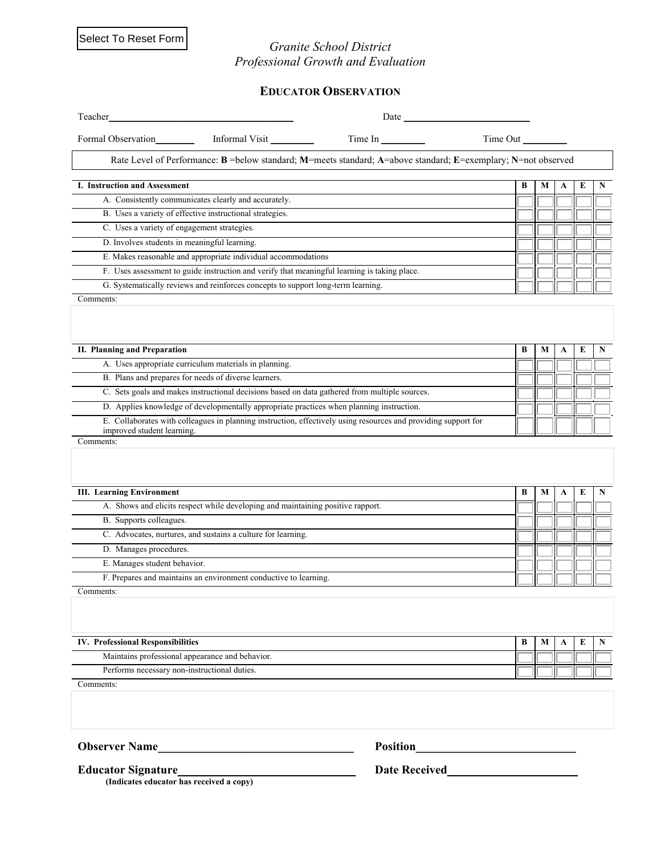Select To Reset Form

### *Granite School District Professional Growth and Evaluation*

## **EDUCATOR OBSERVATION**

| Teacher                                                                                                                                      | Date            |          |   |             |   |   |
|----------------------------------------------------------------------------------------------------------------------------------------------|-----------------|----------|---|-------------|---|---|
| Formal Observation_____________ Informal Visit __________                                                                                    | Time In         | Time Out |   |             |   |   |
| Rate Level of Performance: B = below standard; M=meets standard; A=above standard; E=exemplary; N=not observed                               |                 |          |   |             |   |   |
| I. Instruction and Assessment                                                                                                                |                 | B        | М | A           | E | N |
| A. Consistently communicates clearly and accurately.                                                                                         |                 |          |   |             |   |   |
| B. Uses a variety of effective instructional strategies.                                                                                     |                 |          |   |             |   |   |
| C. Uses a variety of engagement strategies.                                                                                                  |                 |          |   |             |   |   |
| D. Involves students in meaningful learning.                                                                                                 |                 |          |   |             |   |   |
| E. Makes reasonable and appropriate individual accommodations                                                                                |                 |          |   |             |   |   |
| F. Uses assessment to guide instruction and verify that meaningful learning is taking place.                                                 |                 |          |   |             |   |   |
| G. Systematically reviews and reinforces concepts to support long-term learning.                                                             |                 |          |   |             |   |   |
| Comments:                                                                                                                                    |                 |          |   |             |   |   |
|                                                                                                                                              |                 |          |   |             |   |   |
| <b>II. Planning and Preparation</b>                                                                                                          |                 | B        | М | A           | E | N |
| A. Uses appropriate curriculum materials in planning.                                                                                        |                 |          |   |             |   |   |
| B. Plans and prepares for needs of diverse learners.                                                                                         |                 |          |   |             |   |   |
| C. Sets goals and makes instructional decisions based on data gathered from multiple sources.                                                |                 |          |   |             |   |   |
| D. Applies knowledge of developmentally appropriate practices when planning instruction.                                                     |                 |          |   |             |   |   |
| E. Collaborates with colleagues in planning instruction, effectively using resources and providing support for<br>improved student learning. |                 |          |   |             |   |   |
| Comments:                                                                                                                                    |                 |          |   |             |   |   |
|                                                                                                                                              |                 |          |   |             |   |   |
| <b>III.</b> Learning Environment                                                                                                             |                 | В        | M | A           | E | N |
| A. Shows and elicits respect while developing and maintaining positive rapport.                                                              |                 |          |   |             |   |   |
| B. Supports colleagues.                                                                                                                      |                 |          |   |             |   |   |
| C. Advocates, nurtures, and sustains a culture for learning.                                                                                 |                 |          |   |             |   |   |
| D. Manages procedures.                                                                                                                       |                 |          |   |             |   |   |
| E. Manages student behavior.                                                                                                                 |                 |          |   |             |   |   |
| F. Prepares and maintains an environment conductive to learning.                                                                             |                 |          |   |             |   |   |
| Comments:                                                                                                                                    |                 |          |   |             |   |   |
|                                                                                                                                              |                 |          |   |             |   |   |
| <b>IV. Professional Responsibilities</b>                                                                                                     |                 | B        | M | $\mathbf A$ | E | N |
| Maintains professional appearance and behavior.                                                                                              |                 |          |   |             |   |   |
| Performs necessary non-instructional duties.                                                                                                 |                 |          |   |             |   |   |
| Comments:                                                                                                                                    |                 |          |   |             |   |   |
|                                                                                                                                              |                 |          |   |             |   |   |
| <b>Observer Name</b>                                                                                                                         | <b>Position</b> |          |   |             |   |   |

**Educator Signature\_\_\_\_\_\_\_\_\_\_\_\_\_\_\_\_\_\_\_\_\_\_\_\_\_\_\_\_\_\_ Date Received\_\_\_\_\_\_\_\_\_\_\_\_\_\_\_\_\_\_\_\_\_\_**

 **(Indicates educator has received a copy)**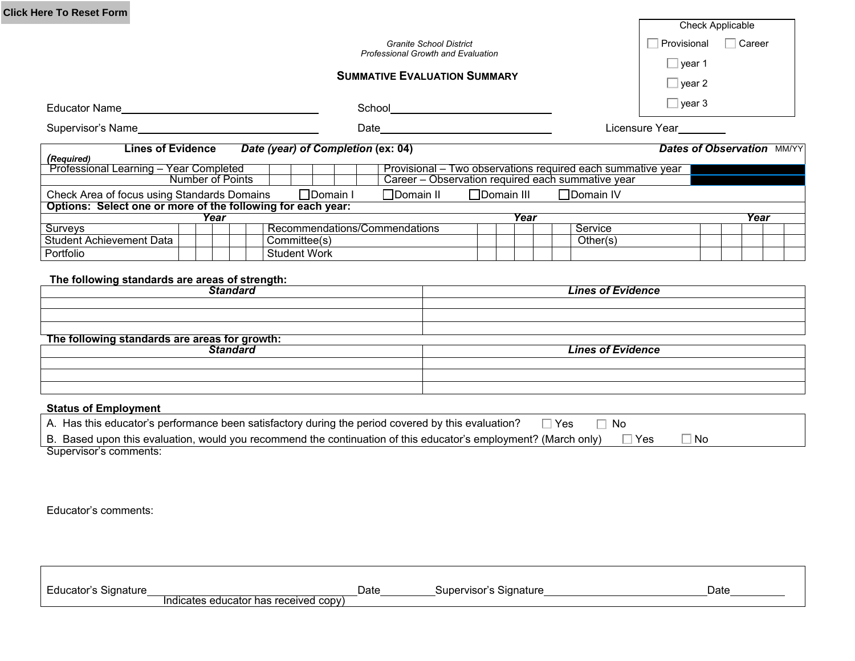| <b>Click Here To Reset Form</b>                                                  |                                                                                                                                                                                   |                  |                                   |
|----------------------------------------------------------------------------------|-----------------------------------------------------------------------------------------------------------------------------------------------------------------------------------|------------------|-----------------------------------|
|                                                                                  |                                                                                                                                                                                   |                  | Check Applicable                  |
|                                                                                  | <b>Granite School District</b>                                                                                                                                                    |                  | $\sqcap$ Career<br>Provisional    |
|                                                                                  | <b>Professional Growth and Evaluation</b>                                                                                                                                         |                  |                                   |
|                                                                                  | <b>SUMMATIVE EVALUATION SUMMARY</b>                                                                                                                                               |                  | $\Box$ year 1                     |
|                                                                                  |                                                                                                                                                                                   |                  | $\Box$ year 2                     |
|                                                                                  |                                                                                                                                                                                   |                  | $\Box$ year 3                     |
| Supervisor's Name                                                                |                                                                                                                                                                                   |                  | Licensure Year                    |
|                                                                                  |                                                                                                                                                                                   |                  |                                   |
| <b>Lines of Evidence</b><br>(Required)<br>Professional Learning - Year Completed | Date (year) of Completion (ex: 04)<br>Provisional – Two observations required each summative year<br>Career - Observation required each summative year<br><b>Number of Points</b> |                  | <b>Dates of Observation MM/YY</b> |
| Check Area of focus using Standards Domains                                      | □Domain I<br>$\Box$ Domain II<br>$\Box$ Domain III                                                                                                                                | $\Box$ Domain IV |                                   |
| Options: Select one or more of the following for each year:                      |                                                                                                                                                                                   |                  |                                   |
|                                                                                  | Year                                                                                                                                                                              | Year             | Year                              |
| Surveys                                                                          | Recommendations/Commendations                                                                                                                                                     | Service          |                                   |
| <b>Student Achievement Data</b>                                                  | Committee(s)                                                                                                                                                                      | Other(s)         |                                   |

| The following standards are areas for growth: |                          |  |  |  |
|-----------------------------------------------|--------------------------|--|--|--|
| Standard                                      | <b>Lines of Evidence</b> |  |  |  |
|                                               |                          |  |  |  |
|                                               |                          |  |  |  |
|                                               |                          |  |  |  |

#### **Status of Employment**

| ⊡ Yes<br>A. Has this educator's performance been satisfactory during the period covered by this evaluation?<br>□ No                   |
|---------------------------------------------------------------------------------------------------------------------------------------|
| $\Box$ Yes<br>B. Based upon this evaluation, would you recommend the continuation of this educator's employment? (March only)<br>∃ No |
| Supervisor's comments:                                                                                                                |

Educator's comments:

| Educator's<br><b>Signature</b> |                                       | Date | Supervisor's<br>`Signature | Date |
|--------------------------------|---------------------------------------|------|----------------------------|------|
|                                | Indicates educator has received copy) |      |                            |      |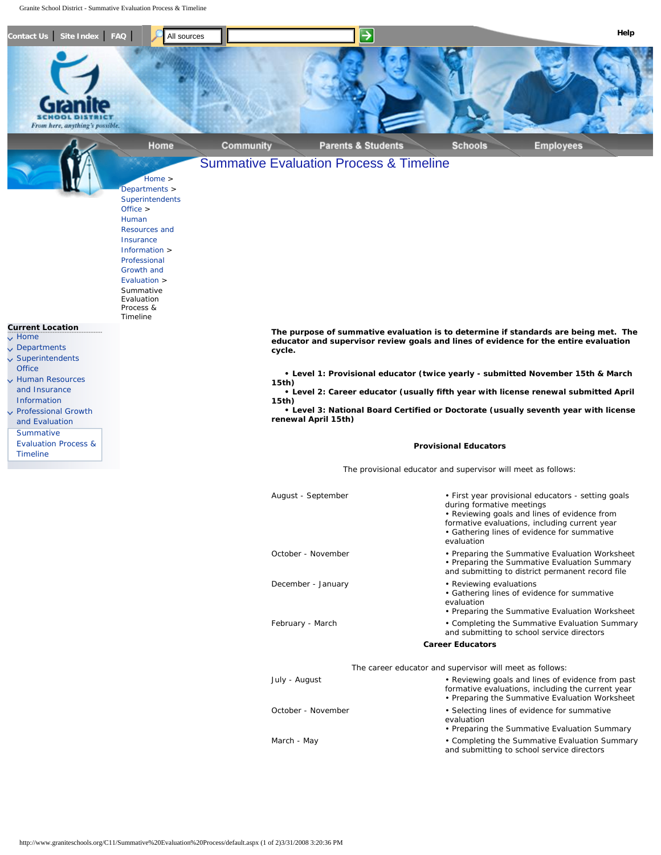<span id="page-5-0"></span>Granite School District - Summative Evaluation Process & Timeline



|                    | during formative meetings<br>• Reviewing goals and lines of evidence from<br>formative evaluations, including current year<br>• Gathering lines of evidence for summative<br>evaluation |
|--------------------|-----------------------------------------------------------------------------------------------------------------------------------------------------------------------------------------|
| October - November | • Preparing the Summative Evaluation Worksheet<br>• Preparing the Summative Evaluation Summary<br>and submitting to district permanent record file                                      |
| December - January | • Reviewing evaluations<br>• Gathering lines of evidence for summative<br>evaluation<br>• Preparing the Summative Evaluation Worksheet                                                  |
| February - March   | • Completing the Summative Evaluation Summary<br>and submitting to school service directors                                                                                             |
|                    | <b>Career Educators</b>                                                                                                                                                                 |
|                    | The career educator and supervisor will meet as follows:                                                                                                                                |
| July - August      | • Reviewing goals and lines of evidence from past<br>formative evaluations, including the current year<br>• Preparing the Summative Evaluation Worksheet                                |
| October - November | • Selecting lines of evidence for summative<br>evaluation<br>• Preparing the Summative Evaluation Summary                                                                               |
| March - May        | • Completing the Summative Evaluation Summary                                                                                                                                           |

and submitting to school service directors